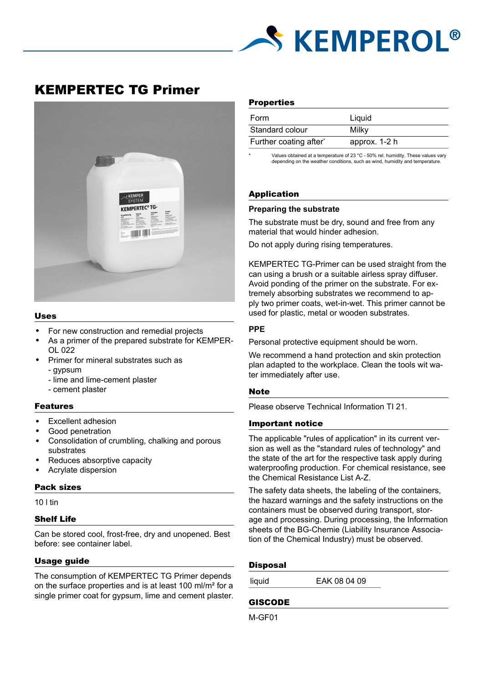

# KEMPERTEC TG Primer



#### Uses

- For new construction and remedial projects
- As a primer of the prepared substrate for KEMPER-OL 022
- Primer for mineral substrates such as
	- gypsum
	- lime and lime-cement plaster
	- cement plaster

### Features

- Excellent adhesion
- Good penetration
- Consolidation of crumbling, chalking and porous substrates
- Reduces absorptive capacity
- Acrylate dispersion

#### Pack sizes

10 l tin

# Shelf Life

Can be stored cool, frost-free, dry and unopened. Best before: see container label.

### Usage guide

The consumption of KEMPERTEC TG Primer depends on the surface properties and is at least 100 ml/m² for a single primer coat for gypsum, lime and cement plaster.

#### **Properties**

| Form                   | Liquid        |
|------------------------|---------------|
| Standard colour        | Milky         |
| Further coating after* | approx. 1-2 h |

Values obtained at a temperature of 23 °C - 50% rel. humidity. These values vary depending on the weather conditions, such as wind, humidity and temperature.

# Application

#### **Preparing the substrate**

The substrate must be dry, sound and free from any material that would hinder adhesion.

Do not apply during rising temperatures.

KEMPERTEC TG-Primer can be used straight from the can using a brush or a suitable airless spray diffuser. Avoid ponding of the primer on the substrate. For extremely absorbing substrates we recommend to apply two primer coats, wet-in-wet. This primer cannot be used for plastic, metal or wooden substrates.

#### **PPE**

Personal protective equipment should be worn.

We recommend a hand protection and skin protection plan adapted to the workplace. Clean the tools wit water immediately after use.

#### Note

Please observe Technical Information TI 21.

#### Important notice

The applicable "rules of application" in its current version as well as the "standard rules of technology" and the state of the art for the respective task apply during waterproofing production. For chemical resistance, see the Chemical Resistance List A-Z.

The safety data sheets, the labeling of the containers, the hazard warnings and the safety instructions on the containers must be observed during transport, storage and processing. During processing, the Information sheets of the BG-Chemie (Liability Insurance Association of the Chemical Industry) must be observed.

#### **Disposal**

liquid EAK 08 04 09

# GISCODE

M-GF01